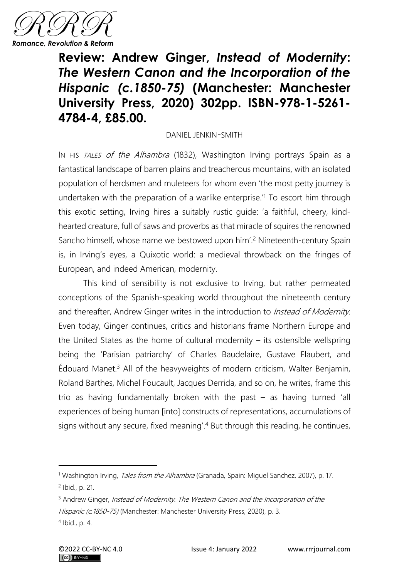

**Review: Andrew Ginger,** *Instead of Modernity***:** *The Western Canon and the Incorporation of the Hispanic (c.1850-75)* **(Manchester: Manchester University Press, 2020) 302pp. ISBN-978-1-5261- 4784-4, £85.00.**

## DANIEL JENKIN-SMITH

IN HIS TALES of the Alhambra (1832), Washington Irving portrays Spain as a fantastical landscape of barren plains and treacherous mountains, with an isolated population of herdsmen and muleteers for whom even 'the most petty journey is undertaken with the preparation of a warlike enterprise.<sup>1</sup> To escort him through this exotic setting, Irving hires a suitably rustic guide: 'a faithful, cheery, kindhearted creature, full of saws and proverbs as that miracle of squires the renowned Sancho himself, whose name we bestowed upon him'.<sup>2</sup> Nineteenth-century Spain is, in Irving's eyes, a Quixotic world: a medieval throwback on the fringes of European, and indeed American, modernity.

This kind of sensibility is not exclusive to Irving, but rather permeated conceptions of the Spanish-speaking world throughout the nineteenth century and thereafter, Andrew Ginger writes in the introduction to *Instead of Modernity*. Even today, Ginger continues, critics and historians frame Northern Europe and the United States as the home of cultural modernity  $-$  its ostensible wellspring being the 'Parisian patriarchy' of Charles Baudelaire, Gustave Flaubert, and  $Éd$ ouard Manet.<sup>3</sup> All of the heavyweights of modern criticism, Walter Benjamin, Roland Barthes, Michel Foucault, Jacques Derrida, and so on, he writes, frame this trio as having fundamentally broken with the past – as having turned 'all experiences of being human [into] constructs of representations, accumulations of signs without any secure, fixed meaning'. <sup>4</sup> But through this reading, he continues,

<sup>&</sup>lt;sup>1</sup> Washington Irving, *Tales from the Alhambra* (Granada, Spain: Miguel Sanchez, 2007), p. 17.

<sup>2</sup> Ibid., p. 21.

<sup>&</sup>lt;sup>3</sup> Andrew Ginger, *Instead of Modernity. The Western Canon and the Incorporation of the* Hispanic (c.1850-75) (Manchester: Manchester University Press, 2020), p. 3.

<sup>4</sup> Ibid., p. 4.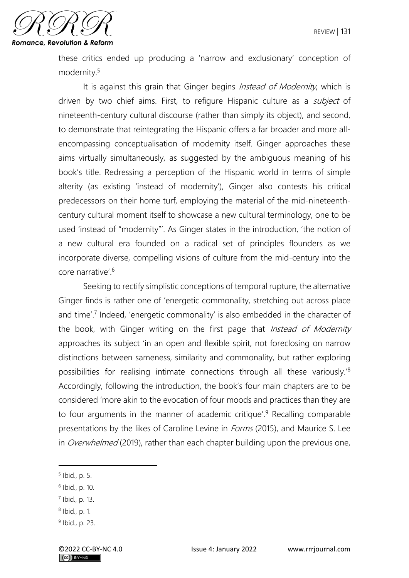

these critics ended up producing a 'narrow and exclusionary' conception of modernity.<sup>5</sup>

It is against this grain that Ginger begins *Instead of Modernity*, which is driven by two chief aims. First, to refigure Hispanic culture as a *subject* of nineteenth-century cultural discourse (rather than simply its object), and second, to demonstrate that reintegrating the Hispanic offers a far broader and more allencompassing conceptualisation of modernity itself. Ginger approaches these aims virtually simultaneously, as suggested by the ambiguous meaning of his book's title. Redressing a perception of the Hispanic world in terms of simple alterity (as existing 'instead of modernity'), Ginger also contests his critical predecessors on their home turf, employing the material of the mid-nineteenthcentury cultural moment itself to showcase a new cultural terminology, one to be used 'instead of "modernity"'. As Ginger states in the introduction, 'the notion of a new cultural era founded on a radical set of principles flounders as we incorporate diverse, compelling visions of culture from the mid-century into the core narrative'.<sup>6</sup>

Seeking to rectify simplistic conceptions of temporal rupture, the alternative Ginger finds is rather one of 'energetic commonality, stretching out across place and time'.<sup>7</sup> Indeed, 'energetic commonality' is also embedded in the character of the book, with Ginger writing on the first page that *Instead of Modernity* approaches its subject 'in an open and flexible spirit, not foreclosing on narrow distinctions between sameness, similarity and commonality, but rather exploring possibilities for realising intimate connections through all these variously.'<sup>8</sup> Accordingly, following the introduction, the book's four main chapters are to be considered 'more akin to the evocation of four moods and practices than they are to four arguments in the manner of academic critique'.<sup>9</sup> Recalling comparable presentations by the likes of Caroline Levine in *Forms* (2015), and Maurice S. Lee in *Overwhelmed* (2019), rather than each chapter building upon the previous one,

<sup>5</sup> Ibid., p. 5.

<sup>6</sup> Ibid., p. 10.

<sup>7</sup> Ibid., p. 13.

<sup>8</sup> Ibid., p. 1.

<sup>&</sup>lt;sup>9</sup> Ibid., p. 23.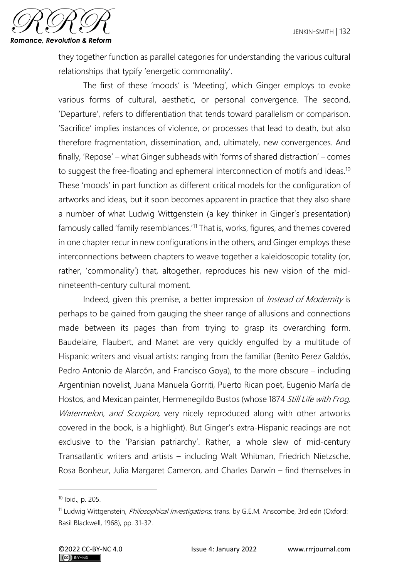

they together function as parallel categories for understanding the various cultural relationships that typify 'energetic commonality'.

The first of these 'moods' is 'Meeting', which Ginger employs to evoke various forms of cultural, aesthetic, or personal convergence. The second, 'Departure', refers to differentiation that tends toward parallelism or comparison. 'Sacrifice' implies instances of violence, or processes that lead to death, but also therefore fragmentation, dissemination, and, ultimately, new convergences. And finally, 'Repose' – what Ginger subheads with 'forms of shared distraction' – comes to suggest the free-floating and ephemeral interconnection of motifs and ideas.<sup>10</sup> These 'moods' in part function as different critical models for the configuration of artworks and ideas, but it soon becomes apparent in practice that they also share a number of what Ludwig Wittgenstein (a key thinker in Ginger's presentation) famously called 'family resemblances.'<sup>11</sup> That is, works, figures, and themes covered in one chapter recur in new configurations in the others, and Ginger employs these interconnections between chapters to weave together a kaleidoscopic totality (or, rather, 'commonality') that, altogether, reproduces his new vision of the midnineteenth-century cultural moment.

Indeed, given this premise, a better impression of *Instead of Modernity* is perhaps to be gained from gauging the sheer range of allusions and connections made between its pages than from trying to grasp its overarching form. Baudelaire, Flaubert, and Manet are very quickly engulfed by a multitude of Hispanic writers and visual artists: ranging from the familiar (Benito Perez Galdós, Pedro Antonio de Alarcón, and Francisco Goya), to the more obscure – including Argentinian novelist, Juana Manuela Gorriti, Puerto Rican poet, Eugenio María de Hostos, and Mexican painter, Hermenegildo Bustos (whose 1874 Still Life with Frog, Watermelon, and Scorpion, very nicely reproduced along with other artworks covered in the book, is a highlight). But Ginger's extra-Hispanic readings are not exclusive to the 'Parisian patriarchy'. Rather, a whole slew of mid-century Transatlantic writers and artists – including Walt Whitman, Friedrich Nietzsche, Rosa Bonheur, Julia Margaret Cameron, and Charles Darwin – find themselves in

<sup>10</sup> Ibid., p. 205.

<sup>&</sup>lt;sup>11</sup> Ludwig Wittgenstein, *Philosophical Investigations*, trans. by G.E.M. Anscombe, 3rd edn (Oxford: Basil Blackwell, 1968), pp. 31-32.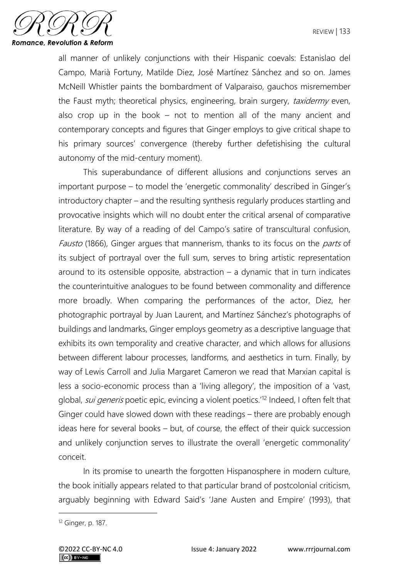

all manner of unlikely conjunctions with their Hispanic coevals: Estanislao del Campo, Marià Fortuny, Matilde Diez, José Martínez Sánchez and so on. James McNeill Whistler paints the bombardment of Valparaiso, gauchos misremember the Faust myth; theoretical physics, engineering, brain surgery, taxidermy even, also crop up in the book – not to mention all of the many ancient and contemporary concepts and figures that Ginger employs to give critical shape to his primary sources' convergence (thereby further defetishising the cultural autonomy of the mid-century moment).

This superabundance of different allusions and conjunctions serves an important purpose – to model the 'energetic commonality' described in Ginger's introductory chapter – and the resulting synthesis regularly produces startling and provocative insights which will no doubt enter the critical arsenal of comparative literature. By way of a reading of del Campo's satire of transcultural confusion, Fausto (1866), Ginger argues that mannerism, thanks to its focus on the *parts* of its subject of portrayal over the full sum, serves to bring artistic representation around to its ostensible opposite, abstraction  $-$  a dynamic that in turn indicates the counterintuitive analogues to be found between commonality and difference more broadly. When comparing the performances of the actor, Diez, her photographic portrayal by Juan Laurent, and Martínez Sánchez's photographs of buildings and landmarks, Ginger employs geometry as a descriptive language that exhibits its own temporality and creative character, and which allows for allusions between different labour processes, landforms, and aesthetics in turn. Finally, by way of Lewis Carroll and Julia Margaret Cameron we read that Marxian capital is less a socio-economic process than a 'living allegory', the imposition of a 'vast, global, *sui generis* poetic epic, evincing a violent poetics.<sup>'12</sup> Indeed, I often felt that Ginger could have slowed down with these readings – there are probably enough ideas here for several books – but, of course, the effect of their quick succession and unlikely conjunction serves to illustrate the overall 'energetic commonality' conceit.

In its promise to unearth the forgotten Hispanosphere in modern culture, the book initially appears related to that particular brand of postcolonial criticism, arguably beginning with Edward Said's 'Jane Austen and Empire' (1993), that

<sup>12</sup> Ginger, p. 187.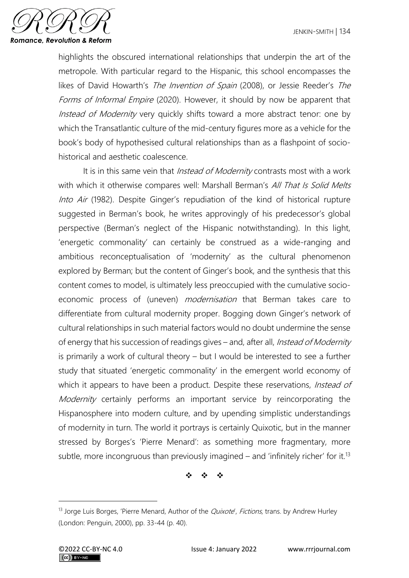

highlights the obscured international relationships that underpin the art of the metropole. With particular regard to the Hispanic, this school encompasses the likes of David Howarth's The Invention of Spain (2008), or Jessie Reeder's The Forms of Informal Empire (2020). However, it should by now be apparent that Instead of Modernity very quickly shifts toward a more abstract tenor: one by which the Transatlantic culture of the mid-century figures more as a vehicle for the book's body of hypothesised cultural relationships than as a flashpoint of sociohistorical and aesthetic coalescence.

It is in this same vein that *Instead of Modernity* contrasts most with a work with which it otherwise compares well: Marshall Berman's All That Is Solid Melts Into Air (1982). Despite Ginger's repudiation of the kind of historical rupture suggested in Berman's book, he writes approvingly of his predecessor's global perspective (Berman's neglect of the Hispanic notwithstanding). In this light, 'energetic commonality' can certainly be construed as a wide-ranging and ambitious reconceptualisation of 'modernity' as the cultural phenomenon explored by Berman; but the content of Ginger's book, and the synthesis that this content comes to model, is ultimately less preoccupied with the cumulative socioeconomic process of (uneven) *modernisation* that Berman takes care to differentiate from cultural modernity proper. Bogging down Ginger's network of cultural relationships in such material factors would no doubt undermine the sense of energy that his succession of readings gives – and, after all, Instead of Modernity is primarily a work of cultural theory – but I would be interested to see a further study that situated 'energetic commonality' in the emergent world economy of which it appears to have been a product. Despite these reservations, *Instead of* Modernity certainly performs an important service by reincorporating the Hispanosphere into modern culture, and by upending simplistic understandings of modernity in turn. The world it portrays is certainly Quixotic, but in the manner stressed by Borges's 'Pierre Menard': as something more fragmentary, more subtle, more incongruous than previously imagined  $-$  and 'infinitely richer' for it.<sup>13</sup>

❖ ❖ ❖

 $13$  Jorge Luis Borges, 'Pierre Menard, Author of the *Quixote', Fictions*, trans. by Andrew Hurley (London: Penguin, 2000), pp. 33-44 (p. 40).